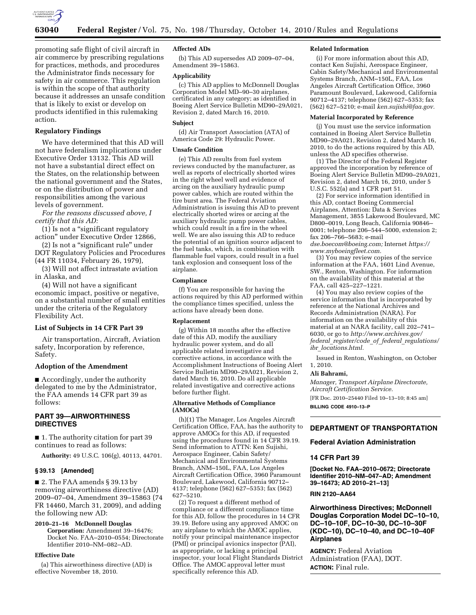

promoting safe flight of civil aircraft in air commerce by prescribing regulations for practices, methods, and procedures the Administrator finds necessary for safety in air commerce. This regulation is within the scope of that authority because it addresses an unsafe condition that is likely to exist or develop on products identified in this rulemaking action.

# **Regulatory Findings**

We have determined that this AD will not have federalism implications under Executive Order 13132. This AD will not have a substantial direct effect on the States, on the relationship between the national government and the States, or on the distribution of power and responsibilities among the various levels of government.

*For the reasons discussed above, I certify that this AD:* 

(1) Is not a ''significant regulatory action'' under Executive Order 12866,

(2) Is not a ''significant rule'' under DOT Regulatory Policies and Procedures (44 FR 11034, February 26, 1979),

(3) Will not affect intrastate aviation in Alaska, and

(4) Will not have a significant economic impact, positive or negative, on a substantial number of small entities under the criteria of the Regulatory Flexibility Act.

### **List of Subjects in 14 CFR Part 39**

Air transportation, Aircraft, Aviation safety, Incorporation by reference, Safety.

### **Adoption of the Amendment**

■ Accordingly, under the authority delegated to me by the Administrator, the FAA amends 14 CFR part 39 as follows:

# **PART 39—AIRWORTHINESS DIRECTIVES**

■ 1. The authority citation for part 39 continues to read as follows:

**Authority:** 49 U.S.C. 106(g), 40113, 44701.

#### **§ 39.13 [Amended]**

■ 2. The FAA amends § 39.13 by removing airworthiness directive (AD) 2009–07–04, Amendment 39–15863 (74 FR 14460, March 31, 2009), and adding the following new AD:

**2010–21–16 McDonnell Douglas Corporation:** Amendment 39–16476; Docket No. FAA–2010–0554; Directorate Identifier 2010–NM–082–AD.

#### **Effective Date**

(a) This airworthiness directive (AD) is effective November 18, 2010.

### **Affected ADs**

(b) This AD supersedes AD 2009–07–04, Amendment 39–15863.

#### **Applicability**

(c) This AD applies to McDonnell Douglas Corporation Model MD–90–30 airplanes, certificated in any category; as identified in Boeing Alert Service Bulletin MD90–29A021, Revision 2, dated March 16, 2010.

# **Subject**

(d) Air Transport Association (ATA) of America Code 29: Hydraulic Power.

# **Unsafe Condition**

(e) This AD results from fuel system reviews conducted by the manufacturer, as well as reports of electrically shorted wires in the right wheel well and evidence of arcing on the auxiliary hydraulic pump power cables, which are routed within the tire burst area. The Federal Aviation Administration is issuing this AD to prevent electrically shorted wires or arcing at the auxiliary hydraulic pump power cables, which could result in a fire in the wheel well. We are also issuing this AD to reduce the potential of an ignition source adjacent to the fuel tanks, which, in combination with flammable fuel vapors, could result in a fuel tank explosion and consequent loss of the airplane.

# **Compliance**

(f) You are responsible for having the actions required by this AD performed within the compliance times specified, unless the actions have already been done.

# **Replacement**

(g) Within 18 months after the effective date of this AD, modify the auxiliary hydraulic power system, and do all applicable related investigative and corrective actions, in accordance with the Accomplishment Instructions of Boeing Alert Service Bulletin MD90–29A021, Revision 2, dated March 16, 2010. Do all applicable related investigative and corrective actions before further flight.

#### **Alternative Methods of Compliance (AMOCs)**

(h)(1) The Manager, Los Angeles Aircraft Certification Office, FAA, has the authority to approve AMOCs for this AD, if requested using the procedures found in 14 CFR 39.19. Send information to ATTN: Ken Sujishi, Aerospace Engineer, Cabin Safety/ Mechanical and Environmental Systems Branch, ANM–150L, FAA, Los Angeles Aircraft Certification Office, 3960 Paramount Boulevard, Lakewood, California 90712– 4137; telephone (562) 627–5353; fax (562) 627–5210.

(2) To request a different method of compliance or a different compliance time for this AD, follow the procedures in 14 CFR 39.19. Before using any approved AMOC on any airplane to which the AMOC applies, notify your principal maintenance inspector (PMI) or principal avionics inspector (PAI), as appropriate, or lacking a principal inspector, your local Flight Standards District Office. The AMOC approval letter must specifically reference this AD.

#### **Related Information**

(i) For more information about this AD, contact Ken Sujishi, Aerospace Engineer, Cabin Safety/Mechanical and Environmental Systems Branch, ANM–150L, FAA, Los Angeles Aircraft Certification Office, 3960 Paramount Boulevard, Lakewood, California 90712–4137; telephone (562) 627–5353; fax (562) 627–5210; e-mail *[ken.sujishi@faa.gov.](mailto:ken.sujishi@faa.gov)* 

#### **Material Incorporated by Reference**

(j) You must use the service information contained in Boeing Alert Service Bulletin MD90–29A021, Revision 2, dated March 16, 2010, to do the actions required by this AD, unless the AD specifies otherwise.

(1) The Director of the Federal Register approved the incorporation by reference of Boeing Alert Service Bulletin MD90–29A021, Revision 2, dated March 16, 2010, under 5 U.S.C. 552(a) and 1 CFR part 51.

(2) For service information identified in this AD, contact Boeing Commercial Airplanes, Attention: Data & Services Management, 3855 Lakewood Boulevard, MC D800–0019, Long Beach, California 90846– 0001; telephone 206–544–5000, extension 2; fax 206–766–5683; e-mail

*[dse.boecom@boeing.com;](mailto:dse.boecom@boeing.com)* Internet *[https://](https://www.myboeingfleet.com)  [www.myboeingfleet.com.](https://www.myboeingfleet.com)* 

(3) You may review copies of the service information at the FAA, 1601 Lind Avenue, SW., Renton, Washington. For information on the availability of this material at the FAA, call 425–227–1221.

(4) You may also review copies of the service information that is incorporated by reference at the National Archives and Records Administration (NARA). For information on the availability of this material at an NARA facility, call 202–741– 6030, or go to *[http://www.archives.gov/](http://www.archives.gov/federal_register/code_of_federal_regulations/ibr_locations.html)  federal*\_*[register/code](http://www.archives.gov/federal_register/code_of_federal_regulations/ibr_locations.html)*\_*of*\_*federal*\_*regulations/ ibr*\_*[locations.html.](http://www.archives.gov/federal_register/code_of_federal_regulations/ibr_locations.html)* 

Issued in Renton, Washington, on October 1, 2010.

# **Ali Bahrami,**

*Manager, Transport Airplane Directorate, Aircraft Certification Service.*  [FR Doc. 2010–25440 Filed 10–13–10; 8:45 am] **BILLING CODE 4910–13–P** 

# **DEPARTMENT OF TRANSPORTATION**

### **Federal Aviation Administration**

# **14 CFR Part 39**

**[Docket No. FAA–2010–0672; Directorate Identifier 2010–NM–047–AD; Amendment 39–16473; AD 2010–21–13]** 

# **RIN 2120–AA64**

**Airworthiness Directives; McDonnell Douglas Corporation Model DC–10–10, DC–10–10F, DC–10–30, DC–10–30F (KDC–10), DC–10–40, and DC–10–40F Airplanes** 

**AGENCY:** Federal Aviation Administration (FAA), DOT. **ACTION:** Final rule.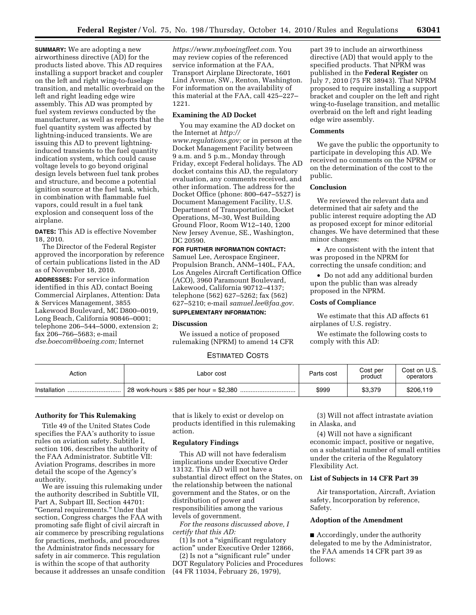**SUMMARY:** We are adopting a new airworthiness directive (AD) for the products listed above. This AD requires installing a support bracket and coupler on the left and right wing-to-fuselage transition, and metallic overbraid on the left and right leading edge wire assembly. This AD was prompted by fuel system reviews conducted by the manufacturer, as well as reports that the fuel quantity system was affected by lightning-induced transients. We are issuing this AD to prevent lightninginduced transients to the fuel quantity indication system, which could cause voltage levels to go beyond original design levels between fuel tank probes and structure, and become a potential ignition source at the fuel tank, which, in combination with flammable fuel vapors, could result in a fuel tank explosion and consequent loss of the airplane.

**DATES:** This AD is effective November 18, 2010.

The Director of the Federal Register approved the incorporation by reference of certain publications listed in the AD as of November 18, 2010.

**ADDRESSES:** For service information identified in this AD, contact Boeing Commercial Airplanes, Attention: Data & Services Management, 3855 Lakewood Boulevard, MC D800–0019, Long Beach, California 90846–0001; telephone 206–544–5000, extension 2; fax 206–766–5683; e-mail *[dse.boecom@boeing.com;](mailto:dse.boecom@boeing.com)* Internet

*[https://www.myboeingfleet.com.](https://www.myboeingfleet.com)* You may review copies of the referenced service information at the FAA, Transport Airplane Directorate, 1601 Lind Avenue, SW., Renton, Washington. For information on the availability of this material at the FAA, call 425–227– 1221.

# **Examining the AD Docket**

You may examine the AD docket on the Internet at *[http://](http://www.regulations.gov)  [www.regulations.gov;](http://www.regulations.gov)* or in person at the Docket Management Facility between 9 a.m. and 5 p.m., Monday through Friday, except Federal holidays. The AD docket contains this AD, the regulatory evaluation, any comments received, and other information. The address for the Docket Office (phone: 800–647–5527) is Document Management Facility, U.S. Department of Transportation, Docket Operations, M–30, West Building Ground Floor, Room W12–140, 1200 New Jersey Avenue, SE., Washington, DC 20590.

# **FOR FURTHER INFORMATION CONTACT:**

Samuel Lee, Aerospace Engineer, Propulsion Branch, ANM–140L, FAA, Los Angeles Aircraft Certification Office (ACO), 3960 Paramount Boulevard, Lakewood, California 90712–4137; telephone (562) 627–5262; fax (562) 627–5210; e-mail *[samuel.lee@faa.gov.](mailto:samuel.lee@faa.gov)*  **SUPPLEMENTARY INFORMATION:** 

#### **Discussion**

We issued a notice of proposed rulemaking (NPRM) to amend 14 CFR

ESTIMATED COSTS

| Action           | Labor cost | Parts cost | Cost per<br>product | Cost on U.S.<br>operators |
|------------------|------------|------------|---------------------|---------------------------|
| Installation<br> |            | \$999      | \$3.379             | \$206.119                 |

#### **Authority for This Rulemaking**

Title 49 of the United States Code specifies the FAA's authority to issue rules on aviation safety. Subtitle I, section 106, describes the authority of the FAA Administrator. Subtitle VII: Aviation Programs, describes in more detail the scope of the Agency's authority.

We are issuing this rulemaking under the authority described in Subtitle VII, Part A, Subpart III, Section 44701: ''General requirements.'' Under that section, Congress charges the FAA with promoting safe flight of civil aircraft in air commerce by prescribing regulations for practices, methods, and procedures the Administrator finds necessary for safety in air commerce. This regulation is within the scope of that authority because it addresses an unsafe condition that is likely to exist or develop on products identified in this rulemaking action.

# **Regulatory Findings**

This AD will not have federalism implications under Executive Order 13132. This AD will not have a substantial direct effect on the States, on the relationship between the national government and the States, or on the distribution of power and responsibilities among the various levels of government.

*For the reasons discussed above, I certify that this AD:* 

(1) Is not a ''significant regulatory action'' under Executive Order 12866,

(2) Is not a ''significant rule'' under DOT Regulatory Policies and Procedures (44 FR 11034, February 26, 1979),

(3) Will not affect intrastate aviation in Alaska, and

part 39 to include an airworthiness directive (AD) that would apply to the specified products. That NPRM was published in the **Federal Register** on July 7, 2010 (75 FR 38943). That NPRM proposed to require installing a support bracket and coupler on the left and right wing-to-fuselage transition, and metallic overbraid on the left and right leading

We gave the public the opportunity to participate in developing this AD. We received no comments on the NPRM or on the determination of the cost to the

We reviewed the relevant data and determined that air safety and the public interest require adopting the AD as proposed except for minor editorial changes. We have determined that these

• Are consistent with the intent that

We estimate that this AD affects 61

We estimate the following costs to

was proposed in the NPRM for correcting the unsafe condition; and • Do not add any additional burden upon the public than was already

proposed in the NPRM. **Costs of Compliance** 

airplanes of U.S. registry.

comply with this AD:

edge wire assembly.

**Comments** 

public. **Conclusion** 

minor changes:

(4) Will not have a significant economic impact, positive or negative, on a substantial number of small entities under the criteria of the Regulatory Flexibility Act.

# **List of Subjects in 14 CFR Part 39**

Air transportation, Aircraft, Aviation safety, Incorporation by reference, Safety.

# **Adoption of the Amendment**

■ Accordingly, under the authority delegated to me by the Administrator, the FAA amends 14 CFR part 39 as follows: